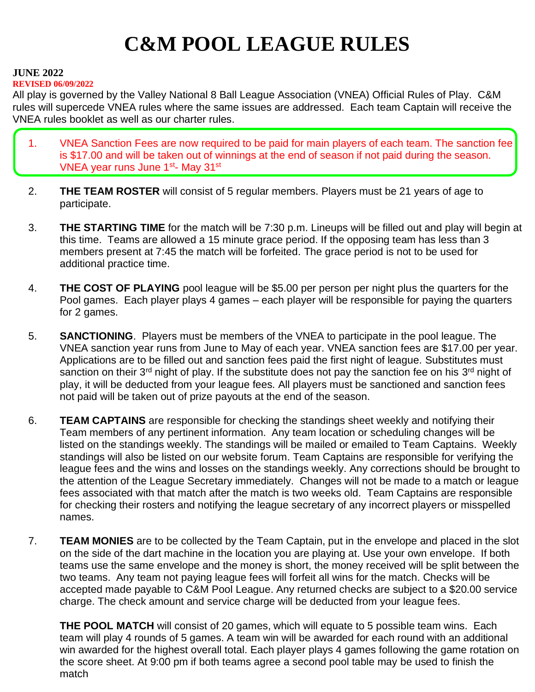# **C&M POOL LEAGUE RULES**

#### **JUNE 2022**

#### **REVISED 06/09/2022**

All play is governed by the Valley National 8 Ball League Association (VNEA) Official Rules of Play. C&M rules will supercede VNEA rules where the same issues are addressed. Each team Captain will receive the VNEA rules booklet as well as our charter rules.

- 1. VNEA Sanction Fees are now required to be paid for main players of each team. The sanction fee is \$17.00 and will be taken out of winnings at the end of season if not paid during the season. VNEA year runs June 1<sup>st</sup>- May 31<sup>st</sup>
- 2. **THE TEAM ROSTER** will consist of 5 regular members. Players must be 21 years of age to participate.
- 3. **THE STARTING TIME** for the match will be 7:30 p.m. Lineups will be filled out and play will begin at this time. Teams are allowed a 15 minute grace period. If the opposing team has less than 3 members present at 7:45 the match will be forfeited. The grace period is not to be used for additional practice time.
- 4. **THE COST OF PLAYING** pool league will be \$5.00 per person per night plus the quarters for the Pool games. Each player plays 4 games – each player will be responsible for paying the quarters for 2 games.
- 5. **SANCTIONING**. Players must be members of the VNEA to participate in the pool league. The VNEA sanction year runs from June to May of each year. VNEA sanction fees are \$17.00 per year. Applications are to be filled out and sanction fees paid the first night of league. Substitutes must sanction on their 3<sup>rd</sup> night of play. If the substitute does not pay the sanction fee on his 3<sup>rd</sup> night of play, it will be deducted from your league fees. All players must be sanctioned and sanction fees not paid will be taken out of prize payouts at the end of the season.
- 6. **TEAM CAPTAINS** are responsible for checking the standings sheet weekly and notifying their Team members of any pertinent information. Any team location or scheduling changes will be listed on the standings weekly. The standings will be mailed or emailed to Team Captains. Weekly standings will also be listed on our website forum. Team Captains are responsible for verifying the league fees and the wins and losses on the standings weekly. Any corrections should be brought to the attention of the League Secretary immediately. Changes will not be made to a match or league fees associated with that match after the match is two weeks old. Team Captains are responsible for checking their rosters and notifying the league secretary of any incorrect players or misspelled names.
- 7. **TEAM MONIES** are to be collected by the Team Captain, put in the envelope and placed in the slot on the side of the dart machine in the location you are playing at. Use your own envelope. If both teams use the same envelope and the money is short, the money received will be split between the two teams. Any team not paying league fees will forfeit all wins for the match. Checks will be accepted made payable to C&M Pool League. Any returned checks are subject to a \$20.00 service charge. The check amount and service charge will be deducted from your league fees.

**THE POOL MATCH** will consist of 20 games, which will equate to 5 possible team wins. Each team will play 4 rounds of 5 games. A team win will be awarded for each round with an additional win awarded for the highest overall total. Each player plays 4 games following the game rotation on the score sheet. At 9:00 pm if both teams agree a second pool table may be used to finish the match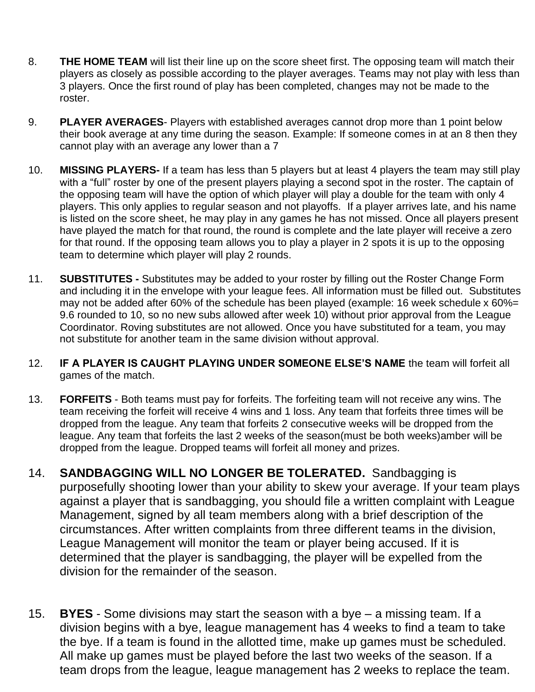- 8. **THE HOME TEAM** will list their line up on the score sheet first. The opposing team will match their players as closely as possible according to the player averages. Teams may not play with less than 3 players. Once the first round of play has been completed, changes may not be made to the roster.
- 9. **PLAYER AVERAGES** Players with established averages cannot drop more than 1 point below their book average at any time during the season. Example: If someone comes in at an 8 then they cannot play with an average any lower than a 7
- 10. **MISSING PLAYERS-** If a team has less than 5 players but at least 4 players the team may still play with a "full" roster by one of the present players playing a second spot in the roster. The captain of the opposing team will have the option of which player will play a double for the team with only 4 players. This only applies to regular season and not playoffs. If a player arrives late, and his name is listed on the score sheet, he may play in any games he has not missed. Once all players present have played the match for that round, the round is complete and the late player will receive a zero for that round. If the opposing team allows you to play a player in 2 spots it is up to the opposing team to determine which player will play 2 rounds.
- 11. **SUBSTITUTES -** Substitutes may be added to your roster by filling out the Roster Change Form and including it in the envelope with your league fees. All information must be filled out. Substitutes may not be added after 60% of the schedule has been played (example: 16 week schedule x 60%= 9.6 rounded to 10, so no new subs allowed after week 10) without prior approval from the League Coordinator. Roving substitutes are not allowed. Once you have substituted for a team, you may not substitute for another team in the same division without approval.
- 12. **IF A PLAYER IS CAUGHT PLAYING UNDER SOMEONE ELSE'S NAME** the team will forfeit all games of the match.
- 13. **FORFEITS** Both teams must pay for forfeits. The forfeiting team will not receive any wins. The team receiving the forfeit will receive 4 wins and 1 loss. Any team that forfeits three times will be dropped from the league. Any team that forfeits 2 consecutive weeks will be dropped from the league. Any team that forfeits the last 2 weeks of the season(must be both weeks)amber will be dropped from the league. Dropped teams will forfeit all money and prizes.
- 14. **SANDBAGGING WILL NO LONGER BE TOLERATED.** Sandbagging is purposefully shooting lower than your ability to skew your average. If your team plays against a player that is sandbagging, you should file a written complaint with League Management, signed by all team members along with a brief description of the circumstances. After written complaints from three different teams in the division, League Management will monitor the team or player being accused. If it is determined that the player is sandbagging, the player will be expelled from the division for the remainder of the season.
- 15. **BYES** Some divisions may start the season with a bye a missing team. If a division begins with a bye, league management has 4 weeks to find a team to take the bye. If a team is found in the allotted time, make up games must be scheduled. All make up games must be played before the last two weeks of the season. If a team drops from the league, league management has 2 weeks to replace the team.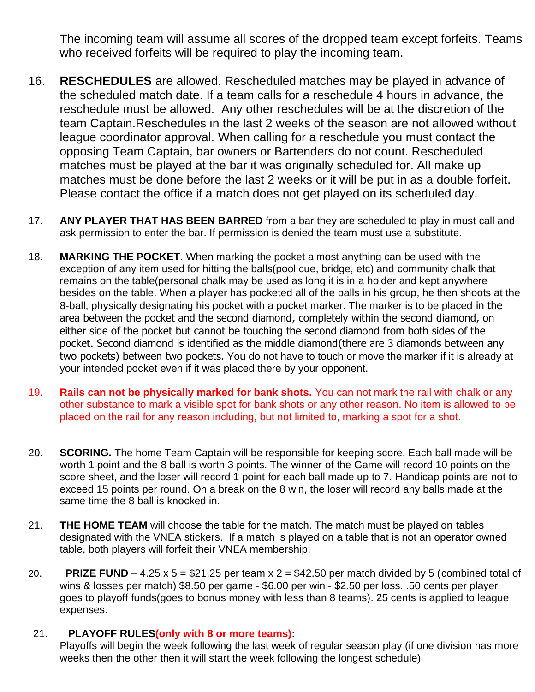The incoming team will assume all scores of the dropped team except forfeits. Teams who received forfeits will be required to play the incoming team.

- 16. **RESCHEDULES** are allowed. Rescheduled matches may be played in advance of the scheduled match date. If a team calls for a reschedule 4 hours in advance, the reschedule must be allowed. Any other reschedules will be at the discretion of the team Captain.Reschedules in the last 2 weeks of the season are not allowed without league coordinator approval. When calling for a reschedule you must contact the opposing Team Captain, bar owners or Bartenders do not count. Rescheduled matches must be played at the bar it was originally scheduled for. All make up matches must be done before the last 2 weeks or it will be put in as a double forfeit. Please contact the office if a match does not get played on its scheduled day.
- 17. **ANY PLAYER THAT HAS BEEN BARRED** from a bar they are scheduled to play in must call and ask permission to enter the bar. If permission is denied the team must use a substitute.
- 18. **MARKING THE POCKET**. When marking the pocket almost anything can be used with the exception of any item used for hitting the balls(pool cue, bridge, etc) and community chalk that remains on the table(personal chalk may be used as long it is in a holder and kept anywhere besides on the table. When a player has pocketed all of the balls in his group, he then shoots at the 8-ball, physically designating his pocket with a pocket marker. The marker is to be placed in the area between the pocket and the second diamond, completely within the second diamond, on either side of the pocket but cannot be touching the second diamond from both sides of the pocket. Second diamond is identified as the middle diamond(there are 3 diamonds between any two pockets) between two pockets. You do not have to touch or move the marker if it is already at your intended pocket even if it was placed there by your opponent.
- 19. **Rails can not be physically marked for bank shots.** You can not mark the rail with chalk or any other substance to mark a visible spot for bank shots or any other reason. No item is allowed to be placed on the rail for any reason including, but not limited to, marking a spot for a shot.
- 20. **SCORING.** The home Team Captain will be responsible for keeping score. Each ball made will be worth 1 point and the 8 ball is worth 3 points. The winner of the Game will record 10 points on the score sheet, and the loser will record 1 point for each ball made up to 7. Handicap points are not to exceed 15 points per round. On a break on the 8 win, the loser will record any balls made at the same time the 8 ball is knocked in.
- 21. **THE HOME TEAM** will choose the table for the match. The match must be played on tables designated with the VNEA stickers. If a match is played on a table that is not an operator owned table, both players will forfeit their VNEA membership.
- 20. **PRIZE FUND** 4.25 x 5 = \$21.25 per team x  $2 = $42.50$  per match divided by 5 (combined total of wins & losses per match) \$8.50 per game - \$6.00 per win - \$2.50 per loss. .50 cents per player goes to playoff funds(goes to bonus money with less than 8 teams). 25 cents is applied to league expenses.

## 21. **PLAYOFF RULES(only with 8 or more teams):**

Playoffs will begin the week following the last week of regular season play (if one division has more weeks then the other then it will start the week following the longest schedule)